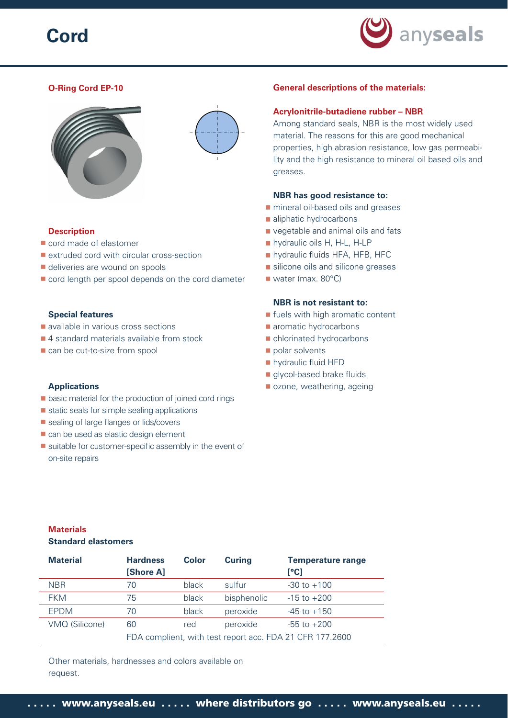# **Cord**



## **O-Ring Cord EP-10**



## **Description**

- cord made of elastomer
- **extruded cord with circular cross-section**
- deliveries are wound on spools
- cord length per spool depends on the cord diameter

#### **Special features**

- available in various cross sections
- 4 standard materials available from stock
- can be cut-to-size from spool

#### **Applications**

- **Department** basic material for the production of joined cord rings
- static seals for simple sealing applications
- sealing of large flanges or lids/covers
- can be used as elastic design element
- $\blacksquare$  suitable for customer-specific assembly in the event of on-site repairs

#### **General descriptions of the materials:**

#### **Acrylonitrile-butadiene rubber – NBR**

Among standard seals, NBR is the most widely used material. The reasons for this are good mechanical properties, high abrasion resistance, low gas permeability and the high resistance to mineral oil based oils and greases.

#### **NBR has good resistance to:**

- **n** mineral oil-based oils and greases
- aliphatic hydrocarbons
- vegetable and animal oils and fats
- **hydraulic oils H, H-L, H-LP**
- **hydraulic fluids HFA, HFB, HFC**
- silicone oils and silicone greases
- water (max. 80°C)

## **NBR is not resistant to:**

- **If** fuels with high aromatic content
- **a** aromatic hydrocarbons
	- chlorinated hydrocarbons
	- polar solvents
	- **hydraulic fluid HFD**
	- glycol-based brake fluids
	- ozone, weathering, ageing

## **Materials Standard elastomers**

| <b>Material</b> | <b>Hardness</b><br>[Shore A]                             | Color | <b>Curing</b> | <b>Temperature range</b><br>[°C] |
|-----------------|----------------------------------------------------------|-------|---------------|----------------------------------|
| <b>NBR</b>      | 70                                                       | black | sulfur        | $-30$ to $+100$                  |
| <b>FKM</b>      | 75                                                       | black | bisphenolic   | $-15$ to $+200$                  |
| <b>EPDM</b>     | 70                                                       | black | peroxide      | $-45$ to $+150$                  |
| VMQ (Silicone)  | 60                                                       | red   | peroxide      | $-55$ to $+200$                  |
|                 | FDA complient, with test report acc. FDA 21 CFR 177.2600 |       |               |                                  |

Other materials, hardnesses and colors available on request.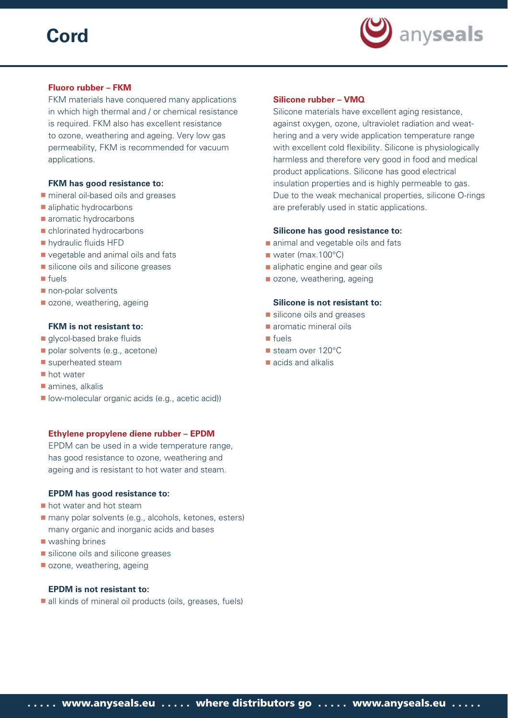# **Cord**



### **Fluoro rubber – FKM**

FKM materials have conquered many applications in which high thermal and / or chemical resistance is required. FKM also has excellent resistance to ozone, weathering and ageing. Very low gas permeability, FKM is recommended for vacuum applications.

#### **FKM has good resistance to:**

- **n** mineral oil-based oils and greases
- aliphatic hydrocarbons
- **aromatic hydrocarbons**
- chlorinated hydrocarbons
- **hydraulic fluids HFD**
- vegetable and animal oils and fats
- silicone oils and silicone greases
- **■** fuels
- non-polar solvents
- ozone, weathering, ageing

#### **FKM is not resistant to:**

- glycol-based brake fluids
- polar solvents (e.g., acetone)
- superheated steam
- **hot water**
- amines, alkalis
- **I** low-molecular organic acids (e.g., acetic acid))

#### **Ethylene propylene diene rubber – EPDM**

EPDM can be used in a wide temperature range, has good resistance to ozone, weathering and ageing and is resistant to hot water and steam.

### **EPDM has good resistance to:**

- **hot water and hot steam**
- many polar solvents (e.g., alcohols, ketones, esters) many organic and inorganic acids and bases
- **Washing brines**
- silicone oils and silicone greases
- ozone, weathering, ageing

#### **EPDM is not resistant to:**

all kinds of mineral oil products (oils, greases, fuels)

### **Silicone rubber – VMQ**

Silicone materials have excellent aging resistance, against oxygen, ozone, ultraviolet radiation and weathering and a very wide application temperature range with excellent cold flexibility. Silicone is physiologically harmless and therefore very good in food and medical product applications. Silicone has good electrical insulation properties and is highly permeable to gas. Due to the weak mechanical properties, silicone O-rings are preferably used in static applications.

#### **Silicone has good resistance to:**

- animal and vegetable oils and fats
- water (max.100°C)
- aliphatic engine and gear oils
- ozone, weathering, ageing

## **Silicone is not resistant to:**

- silicone oils and greases
- **aromatic mineral oils**
- fuels
- steam over 120°C
- acids and alkalis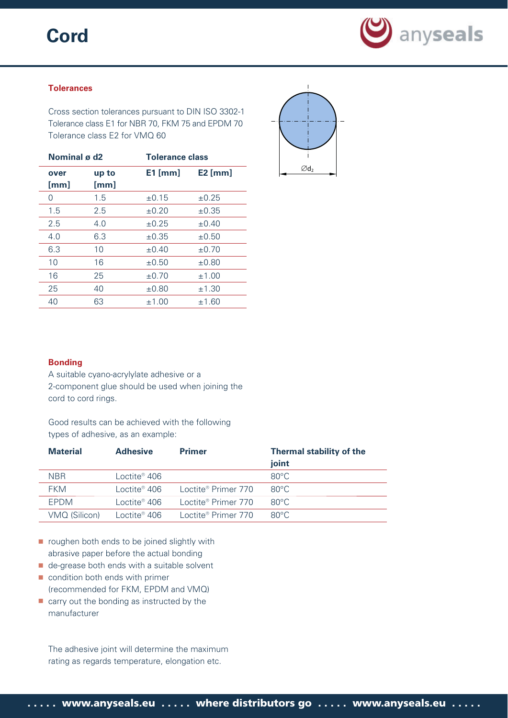## **Cord**



## **Tolerances**

Cross section tolerances pursuant to DIN ISO 3302-1 Tolerance class E1 for NBR 70, FKM 75 and EPDM 70 Tolerance class E2 for VMQ 60

| Nominal ø d2 |               | <b>Tolerance class</b> |            |  |
|--------------|---------------|------------------------|------------|--|
| over<br>[mm] | up to<br>[mm] | $E1$ [mm]              | $E2$ [mm]  |  |
| 0            | 1.5           | $\pm 0.15$             | $\pm 0.25$ |  |
| 1.5          | 2.5           | $\pm 0.20$             | $\pm 0.35$ |  |
| 2.5          | 4.0           | $\pm 0.25$             | $\pm 0.40$ |  |
| 4.0          | 6.3           | $\pm 0.35$             | $\pm 0.50$ |  |
| 6.3          | 10            | $\pm 0.40$             | $\pm 0.70$ |  |
| 10           | 16            | $\pm 0.50$             | $\pm 0.80$ |  |
| 16           | 25            | $\pm 0.70$             | ±1.00      |  |
| 25           | 40            | $\pm 0.80$             | ±1.30      |  |
| 40           | 63            | ±1.00                  | ±1.60      |  |



#### **Bonding**

A suitable cyano-acrylylate adhesive or a 2-component glue should be used when joining the cord to cord rings.

Good results can be achieved with the following types of adhesive, as an example:

| <b>Material</b> | <b>Adhesive</b>          | <b>Primer</b>                   | <b>Thermal stability of the</b> |
|-----------------|--------------------------|---------------------------------|---------------------------------|
|                 |                          |                                 | joint                           |
| <b>NBR</b>      | Loctite <sup>®</sup> 406 |                                 | $80^{\circ}$ C                  |
| <b>FKM</b>      | l octite® 406.           | Loctite <sup>®</sup> Primer 770 | $80^{\circ}$ C                  |
| <b>FPDM</b>     | Loctite® 406.            | Loctite® Primer 770             | $80^{\circ}$ C                  |
| VMQ (Silicon)   | Loctite® 406.            | Loctite <sup>®</sup> Primer 770 | $80^{\circ}$ C.                 |

- **part on the indicaty** roughen both ends to be joined slightly with abrasive paper before the actual bonding
- de-grease both ends with a suitable solvent
- condition both ends with primer (recommended for FKM, EPDM and VMQ)
- carry out the bonding as instructed by the manufacturer

The adhesive joint will determine the maximum rating as regards temperature, elongation etc.